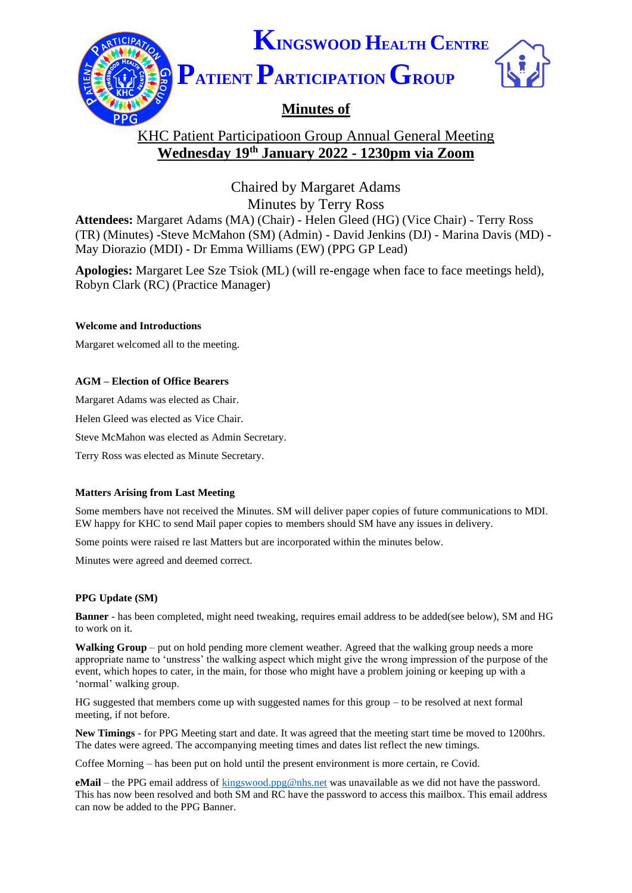

# KHC Patient Participatioon Group Annual General Meeting **Wednesday 19th January 2022 - 1230pm via Zoom**

Chaired by Margaret Adams Minutes by Terry Ross

**Attendees:** Margaret Adams (MA) (Chair) - Helen Gleed (HG) (Vice Chair) - Terry Ross (TR) (Minutes) -Steve McMahon (SM) (Admin) - David Jenkins (DJ) - Marina Davis (MD) - May Diorazio (MDI) - Dr Emma Williams (EW) (PPG GP Lead)

**Apologies:** Margaret Lee Sze Tsiok (ML) (will re-engage when face to face meetings held), Robyn Clark (RC) (Practice Manager)

## **Welcome and Introductions**

Margaret welcomed all to the meeting.

## **AGM – Election of Office Bearers**

Margaret Adams was elected as Chair.

Helen Gleed was elected as Vice Chair.

Steve McMahon was elected as Admin Secretary.

Terry Ross was elected as Minute Secretary.

#### **Matters Arising from Last Meeting**

Some members have not received the Minutes. SM will deliver paper copies of future communications to MDI. EW happy for KHC to send Mail paper copies to members should SM have any issues in delivery.

Some points were raised re last Matters but are incorporated within the minutes below.

Minutes were agreed and deemed correct.

#### **PPG Update (SM)**

**Banner** - has been completed, might need tweaking, requires email address to be added(see below), SM and HG to work on it.

**Walking Group** – put on hold pending more clement weather. Agreed that the walking group needs a more appropriate name to 'unstress' the walking aspect which might give the wrong impression of the purpose of the event, which hopes to cater, in the main, for those who might have a problem joining or keeping up with a 'normal' walking group.

HG suggested that members come up with suggested names for this group – to be resolved at next formal meeting, if not before.

**New Timings** - for PPG Meeting start and date. It was agreed that the meeting start time be moved to 1200hrs. The dates were agreed. The accompanying meeting times and dates list reflect the new timings.

Coffee Morning – has been put on hold until the present environment is more certain, re Covid.

**eMail** – the PPG email address of [kingswood.ppg@nhs.net](mailto:kingswood.ppg@nhs.net) was unavailable as we did not have the password. This has now been resolved and both SM and RC have the password to access this mailbox. This email address can now be added to the PPG Banner.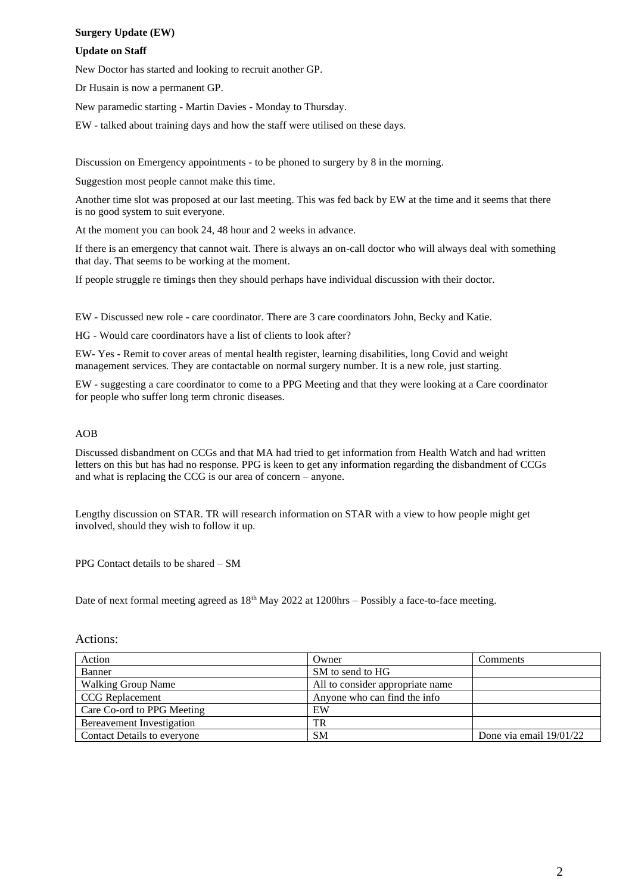## **Surgery Update (EW)**

#### **Update on Staff**

New Doctor has started and looking to recruit another GP.

Dr Husain is now a permanent GP.

New paramedic starting - Martin Davies - Monday to Thursday.

EW - talked about training days and how the staff were utilised on these days.

Discussion on Emergency appointments - to be phoned to surgery by 8 in the morning.

Suggestion most people cannot make this time.

Another time slot was proposed at our last meeting. This was fed back by EW at the time and it seems that there is no good system to suit everyone.

At the moment you can book 24, 48 hour and 2 weeks in advance.

If there is an emergency that cannot wait. There is always an on-call doctor who will always deal with something that day. That seems to be working at the moment.

If people struggle re timings then they should perhaps have individual discussion with their doctor.

EW - Discussed new role - care coordinator. There are 3 care coordinators John, Becky and Katie.

HG - Would care coordinators have a list of clients to look after?

EW- Yes - Remit to cover areas of mental health register, learning disabilities, long Covid and weight management services. They are contactable on normal surgery number. It is a new role, just starting.

EW - suggesting a care coordinator to come to a PPG Meeting and that they were looking at a Care coordinator for people who suffer long term chronic diseases.

## AOB

Discussed disbandment on CCGs and that MA had tried to get information from Health Watch and had written letters on this but has had no response. PPG is keen to get any information regarding the disbandment of CCGs and what is replacing the CCG is our area of concern – anyone.

Lengthy discussion on STAR. TR will research information on STAR with a view to how people might get involved, should they wish to follow it up.

PPG Contact details to be shared – SM

Date of next formal meeting agreed as  $18<sup>th</sup>$  May 2022 at 1200hrs – Possibly a face-to-face meeting.

| Action                             | Owner                            | Comments                  |
|------------------------------------|----------------------------------|---------------------------|
| Banner                             | SM to send to HG                 |                           |
| <b>Walking Group Name</b>          | All to consider appropriate name |                           |
| <b>CCG</b> Replacement             | Anyone who can find the info     |                           |
| Care Co-ord to PPG Meeting         | EW                               |                           |
| Bereavement Investigation          | TR                               |                           |
| <b>Contact Details to everyone</b> | <b>SM</b>                        | Done via email $19/01/22$ |

Actions: